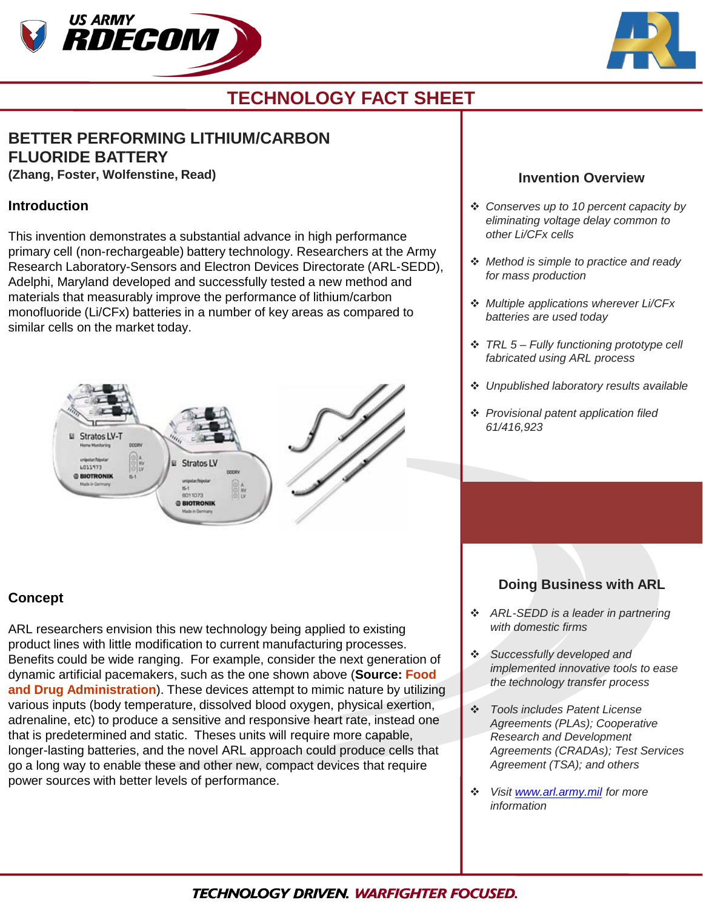



# **TECHNOLOGY FACT SHEET**

# **BETTER PERFORMING LITHIUM/CARBON FLUORIDE BATTERY**

**(Zhang, Foster, Wolfenstine, Read)**

## **Introduction**

This invention demonstrates a substantial advance in high performance primary cell (non-rechargeable) battery technology. Researchers at the Army Research Laboratory-Sensors and Electron Devices Directorate (ARL-SEDD), Adelphi, Maryland developed and successfully tested a new method and materials that measurably improve the performance of lithium/carbon monofluoride (Li/CFx) batteries in a number of key areas as compared to similar cells on the market today.



### **Concept**

ARL researchers envision this new technology being applied to existing product lines with little modification to current manufacturing processes. Benefits could be wide ranging. For example, consider the next generation of dynamic artificial pacemakers, such as the one shown above (**Source: Food and Drug Administration**). These devices attempt to mimic nature by utilizing various inputs (body temperature, dissolved blood oxygen, physical exertion, adrenaline, etc) to produce a sensitive and responsive heart rate, instead one that is predetermined and static. Theses units will require more capable, longer-lasting batteries, and the novel ARL approach could produce cells that go a long way to enable these and other new, compact devices that require power sources with better levels of performance.

#### **Invention Overview**

- *Conserves up to 10 percent capacity by eliminating voltage delay common to other Li/CFx cells*
- *Method is simple to practice and ready for mass production*
- *Multiple applications wherever Li/CFx batteries are used today*
- *TRL 5 – Fully functioning prototype cell fabricated using ARL process*
- *Unpublished laboratory results available*
- *Provisional patent application filed 61/416,923*

# **Doing Business with ARL**

- *ARL-SEDD is a leader in partnering with domestic firms*
- *Successfully developed and implemented innovative tools to ease the technology transfer process*
- *Tools includes Patent License Agreements (PLAs); Cooperative Research and Development Agreements (CRADAs); Test Services Agreement (TSA); and others*
- *Visit [www.arl.army.mil](http://www.arl.army.mil/) for more information*